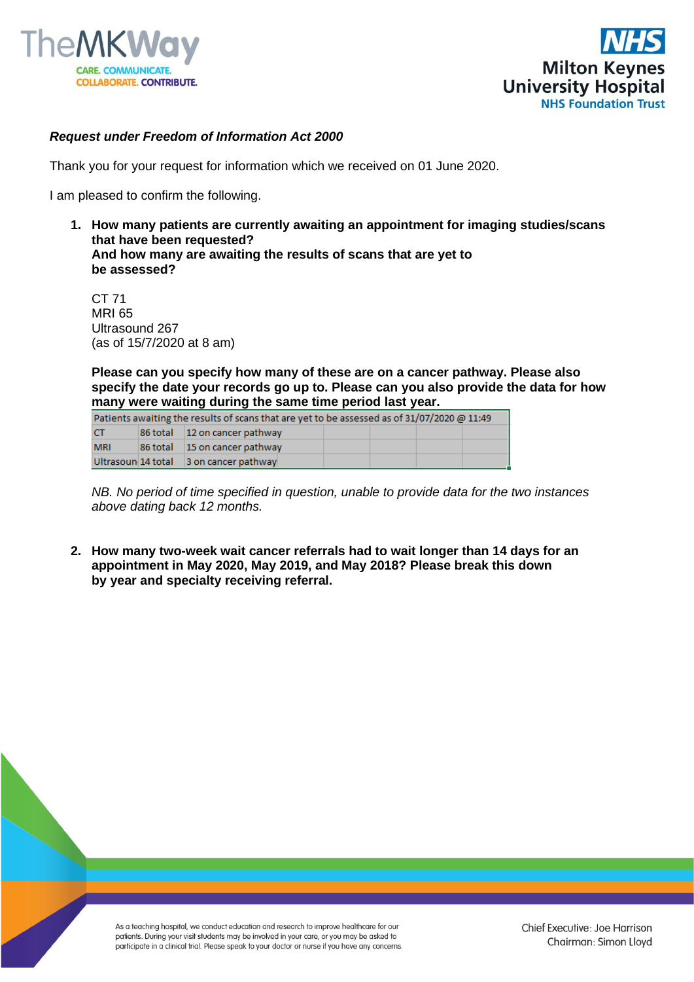



## *Request under Freedom of Information Act 2000*

Thank you for your request for information which we received on 01 June 2020.

I am pleased to confirm the following.

**1. How many patients are currently awaiting an appointment for imaging studies/scans that have been requested? And how many are awaiting the results of scans that are yet to be assessed?** 

CT 71 MRI 65 Ultrasound 267 (as of 15/7/2020 at 8 am)

**Please can you specify how many of these are on a cancer pathway. Please also specify the date your records go up to. Please can you also provide the data for how many were waiting during the same time period last year.** 

| Patients awaiting the results of scans that are yet to be assessed as of 31/07/2020 @ 11:49 |  |                                        |  |  |  |  |  |  |  |  |
|---------------------------------------------------------------------------------------------|--|----------------------------------------|--|--|--|--|--|--|--|--|
| <b>CT</b>                                                                                   |  | 86 total 12 on cancer pathway          |  |  |  |  |  |  |  |  |
| <b>MRI</b>                                                                                  |  | 86 total 15 on cancer pathway          |  |  |  |  |  |  |  |  |
|                                                                                             |  | Ultrasoun 14 total 3 on cancer pathway |  |  |  |  |  |  |  |  |

*NB. No period of time specified in question, unable to provide data for the two instances above dating back 12 months.*

**2. How many two-week wait cancer referrals had to wait longer than 14 days for an appointment in May 2020, May 2019, and May 2018? Please break this down by year and specialty receiving referral.**

As a teaching hospital, we conduct education and research to improve healthcare for our patients. During your visit students may be involved in your care, or you may be asked to participate in a clinical trial. Please speak to your doctor or nurse if you have any concerns.